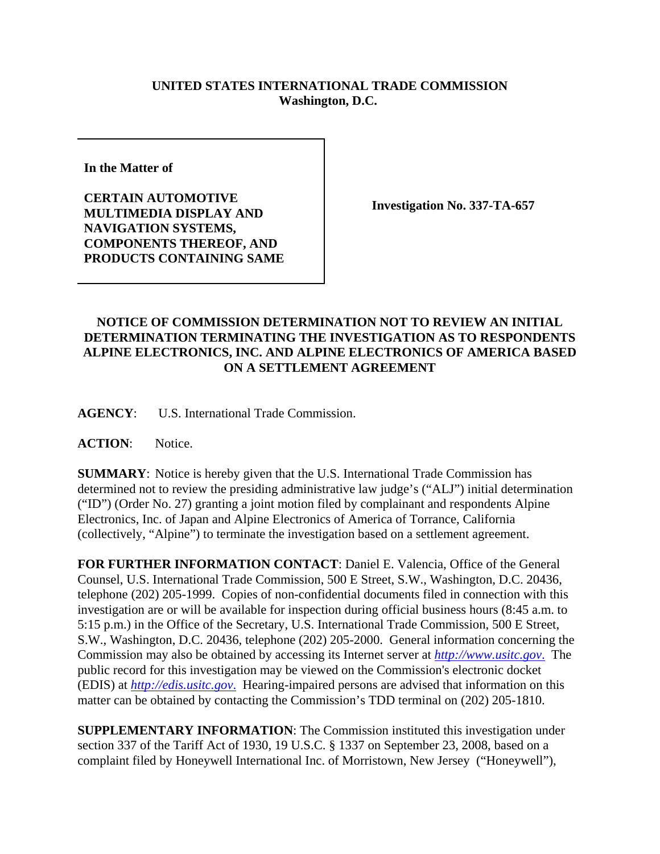## **UNITED STATES INTERNATIONAL TRADE COMMISSION Washington, D.C.**

**In the Matter of** 

**CERTAIN AUTOMOTIVE MULTIMEDIA DISPLAY AND NAVIGATION SYSTEMS, COMPONENTS THEREOF, AND PRODUCTS CONTAINING SAME**

**Investigation No. 337-TA-657**

## **NOTICE OF COMMISSION DETERMINATION NOT TO REVIEW AN INITIAL DETERMINATION TERMINATING THE INVESTIGATION AS TO RESPONDENTS ALPINE ELECTRONICS, INC. AND ALPINE ELECTRONICS OF AMERICA BASED ON A SETTLEMENT AGREEMENT**

**AGENCY**: U.S. International Trade Commission.

ACTION: Notice.

**SUMMARY**: Notice is hereby given that the U.S. International Trade Commission has determined not to review the presiding administrative law judge's ("ALJ") initial determination ("ID") (Order No. 27) granting a joint motion filed by complainant and respondents Alpine Electronics, Inc. of Japan and Alpine Electronics of America of Torrance, California (collectively, "Alpine") to terminate the investigation based on a settlement agreement.

**FOR FURTHER INFORMATION CONTACT**: Daniel E. Valencia, Office of the General Counsel, U.S. International Trade Commission, 500 E Street, S.W., Washington, D.C. 20436, telephone (202) 205-1999. Copies of non-confidential documents filed in connection with this investigation are or will be available for inspection during official business hours (8:45 a.m. to 5:15 p.m.) in the Office of the Secretary, U.S. International Trade Commission, 500 E Street, S.W., Washington, D.C. 20436, telephone (202) 205-2000. General information concerning the Commission may also be obtained by accessing its Internet server at *http://www.usitc.gov*. The public record for this investigation may be viewed on the Commission's electronic docket (EDIS) at *http://edis.usitc.gov*. Hearing-impaired persons are advised that information on this matter can be obtained by contacting the Commission's TDD terminal on (202) 205-1810.

**SUPPLEMENTARY INFORMATION**: The Commission instituted this investigation under section 337 of the Tariff Act of 1930, 19 U.S.C. § 1337 on September 23, 2008, based on a complaint filed by Honeywell International Inc. of Morristown, New Jersey ("Honeywell"),